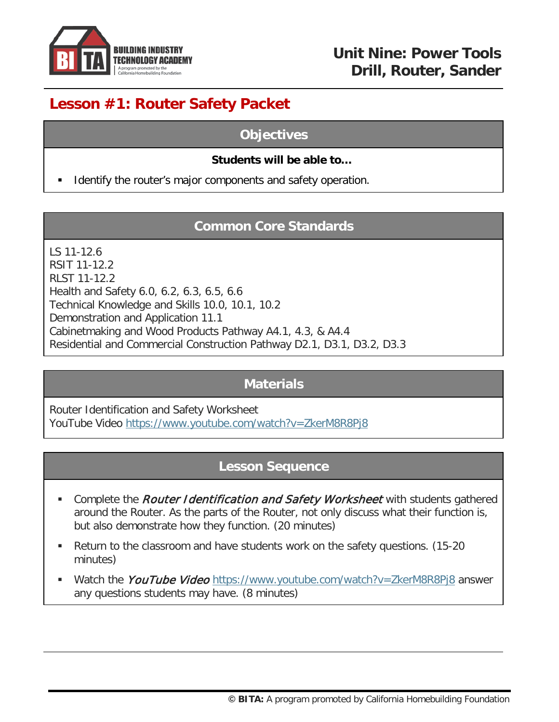

# **Lesson #1: Router Safety Packet**

### **Objectives**

### **Students will be able to…**

Identify the router's major components and safety operation.

## **Common Core Standards**

LS 11-12.6 RSIT 11-12.2 RLST 11-12.2 Health and Safety 6.0, 6.2, 6.3, 6.5, 6.6 Technical Knowledge and Skills 10.0, 10.1, 10.2 Demonstration and Application 11.1 Cabinetmaking and Wood Products Pathway A4.1, 4.3, & A4.4 Residential and Commercial Construction Pathway D2.1, D3.1, D3.2, D3.3

# **Materials**

Router Identification and Safety Worksheet YouTube Video<https://www.youtube.com/watch?v=ZkerM8R8Pj8>

### **Lesson Sequence**

- Complete the *Router Identification and Safety Worksheet* with students gathered around the Router. As the parts of the Router, not only discuss what their function is, but also demonstrate how they function. (20 minutes)
- Return to the classroom and have students work on the safety questions. (15-20 minutes)
- Watch the YouTube Video <https://www.youtube.com/watch?v=ZkerM8R8Pj8> answer any questions students may have. (8 minutes)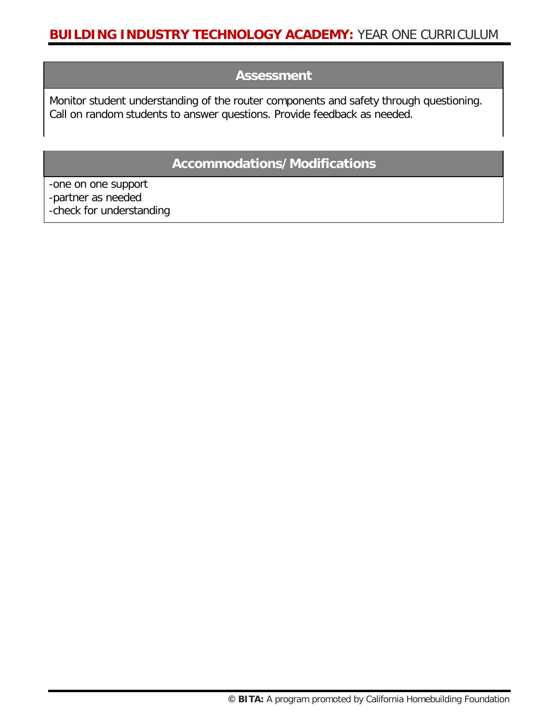### **BUILDING INDUSTRY TECHNOLOGY ACADEMY:** YEAR ONE CURRICULUM

### **Assessment**

Monitor student understanding of the router components and safety through questioning. Call on random students to answer questions. Provide feedback as needed.

### **Accommodations/Modifications**

-one on one support -partner as needed -check for understanding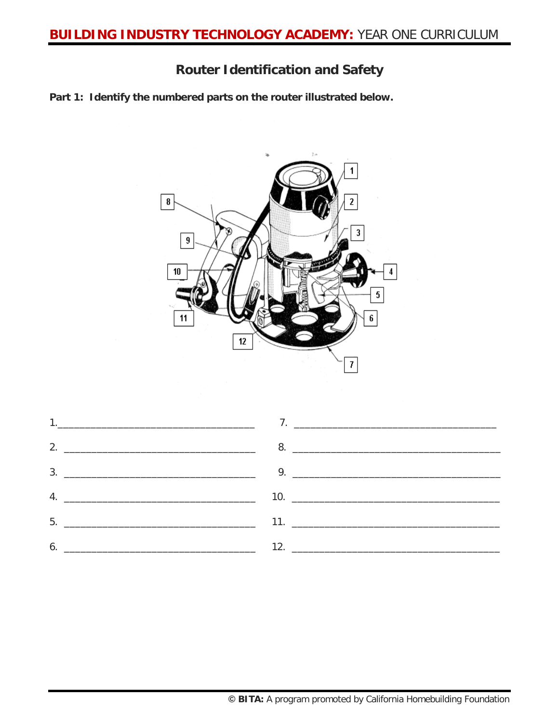## **Router Identification and Safety**

**Part 1: Identify the numbered parts on the router illustrated below.**



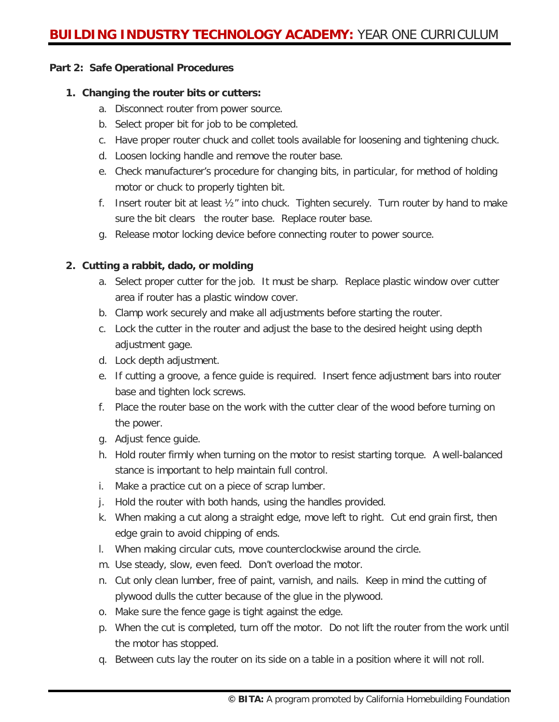#### **Part 2: Safe Operational Procedures**

#### **1. Changing the router bits or cutters:**

- a. Disconnect router from power source.
- b. Select proper bit for job to be completed.
- c. Have proper router chuck and collet tools available for loosening and tightening chuck.
- d. Loosen locking handle and remove the router base.
- e. Check manufacturer's procedure for changing bits, in particular, for method of holding motor or chuck to properly tighten bit.
- f. Insert router bit at least  $\frac{1}{2}$ " into chuck. Tighten securely. Turn router by hand to make sure the bit clears the router base. Replace router base.
- g. Release motor locking device before connecting router to power source.

#### **2. Cutting a rabbit, dado, or molding**

- a. Select proper cutter for the job. It must be sharp. Replace plastic window over cutter area if router has a plastic window cover.
- b. Clamp work securely and make all adjustments before starting the router.
- c. Lock the cutter in the router and adjust the base to the desired height using depth adjustment gage.
- d. Lock depth adjustment.
- e. If cutting a groove, a fence guide is required. Insert fence adjustment bars into router base and tighten lock screws.
- f. Place the router base on the work with the cutter clear of the wood before turning on the power.
- g. Adjust fence guide.
- h. Hold router firmly when turning on the motor to resist starting torque. A well-balanced stance is important to help maintain full control.
- i. Make a practice cut on a piece of scrap lumber.
- j. Hold the router with both hands, using the handles provided.
- k. When making a cut along a straight edge, move left to right. Cut end grain first, then edge grain to avoid chipping of ends.
- l. When making circular cuts, move counterclockwise around the circle.
- m. Use steady, slow, even feed. Don't overload the motor.
- n. Cut only clean lumber, free of paint, varnish, and nails. Keep in mind the cutting of plywood dulls the cutter because of the glue in the plywood.
- o. Make sure the fence gage is tight against the edge.
- p. When the cut is completed, turn off the motor. Do not lift the router from the work until the motor has stopped.
- q. Between cuts lay the router on its side on a table in a position where it will not roll.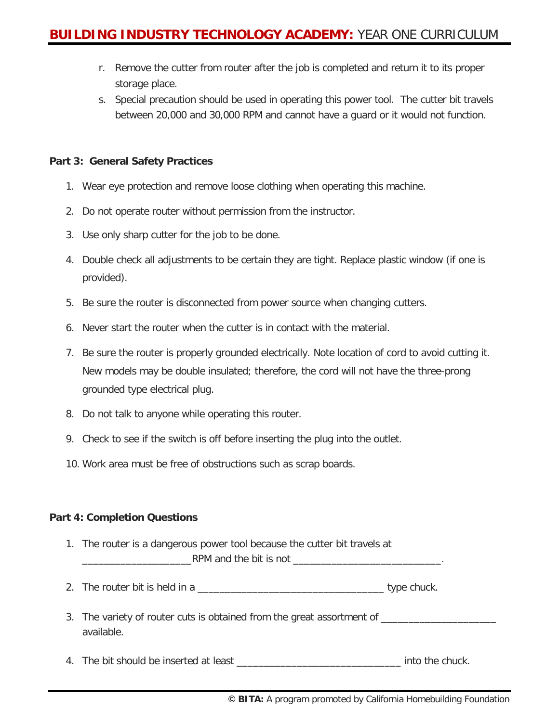- r. Remove the cutter from router after the job is completed and return it to its proper storage place.
- s. Special precaution should be used in operating this power tool. The cutter bit travels between 20,000 and 30,000 RPM and cannot have a guard or it would not function.

#### **Part 3: General Safety Practices**

- 1. Wear eye protection and remove loose clothing when operating this machine.
- 2. Do not operate router without permission from the instructor.
- 3. Use only sharp cutter for the job to be done.
- 4. Double check all adjustments to be certain they are tight. Replace plastic window (if one is provided).
- 5. Be sure the router is disconnected from power source when changing cutters.
- 6. Never start the router when the cutter is in contact with the material.
- 7. Be sure the router is properly grounded electrically. Note location of cord to avoid cutting it. New models may be double insulated; therefore, the cord will not have the three-prong grounded type electrical plug.
- 8. Do not talk to anyone while operating this router.
- 9. Check to see if the switch is off before inserting the plug into the outlet.
- 10. Work area must be free of obstructions such as scrap boards.

#### **Part 4: Completion Questions**

- 1. The router is a dangerous power tool because the cutter bit travels at RPM and the bit is not
- 2. The router bit is held in a zero is a set of the state of type chuck.
- 3. The variety of router cuts is obtained from the great assortment of available.
- 4. The bit should be inserted at least \_\_\_\_\_\_\_\_\_\_\_\_\_\_\_\_\_\_\_\_\_\_\_\_\_\_\_\_\_\_ into the chuck.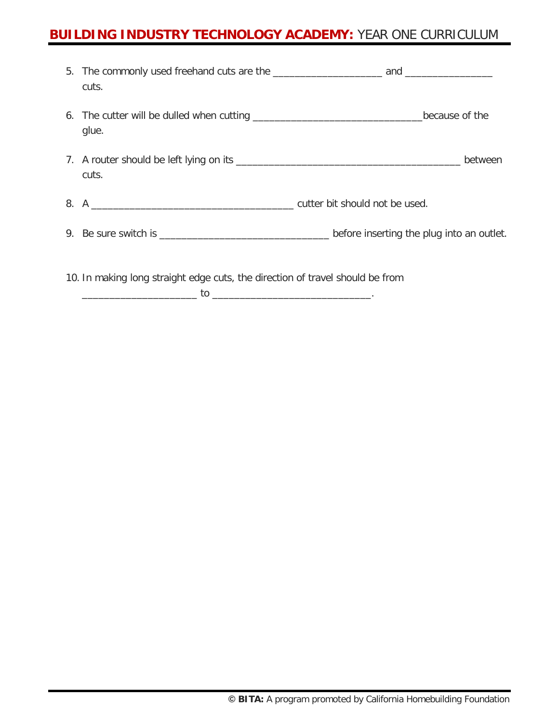# **BUILDING INDUSTRY TECHNOLOGY ACADEMY:** YEAR ONE CURRICULUM

|                                                                               | cuts. |  |
|-------------------------------------------------------------------------------|-------|--|
|                                                                               | glue. |  |
|                                                                               | cuts. |  |
|                                                                               |       |  |
|                                                                               |       |  |
| 10. In making long straight edge cuts, the direction of travel should be from |       |  |

\_\_\_\_\_\_\_\_\_\_\_\_\_\_\_\_\_\_\_\_\_ to \_\_\_\_\_\_\_\_\_\_\_\_\_\_\_\_\_\_\_\_\_\_\_\_\_\_\_\_\_.